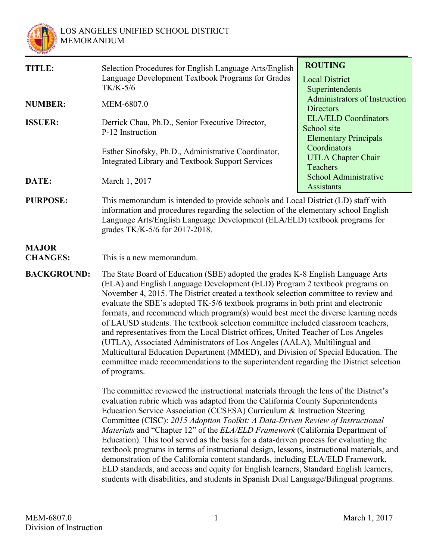

| TITLE:          | Selection Procedures for English Language Arts/English<br>Language Development Textbook Programs for Grades<br>$TK/K-5/6$ | <b>ROUTING</b><br><b>Local District</b><br>Superintendents                 |
|-----------------|---------------------------------------------------------------------------------------------------------------------------|----------------------------------------------------------------------------|
| <b>NUMBER:</b>  | MEM-6807.0                                                                                                                | Administrators of Instruction<br><b>Directors</b>                          |
| <b>ISSUER:</b>  | Derrick Chau, Ph.D., Senior Executive Director,<br>P-12 Instruction                                                       | <b>ELA/ELD</b> Coordinators<br>School site<br><b>Elementary Principals</b> |
|                 | Esther Sinofsky, Ph.D., Administrative Coordinator,<br><b>Integrated Library and Textbook Support Services</b>            | Coordinators<br><b>UTLA Chapter Chair</b><br><b>Teachers</b>               |
| DATE:           | March 1, 2017                                                                                                             | School Administrative<br><b>Assistants</b>                                 |
| <b>PURPOSE:</b> | This memorandum is intended to provide schools and Local District (LD) staff with                                         |                                                                            |

information and procedures regarding the selection of the elementary school English Language Arts/English Language Development (ELA/ELD) textbook programs for grades TK/K-5/6 for 2017-2018.

# **MAJOR**

**CHANGES:** This is a new memorandum.

**BACKGROUND:** The State Board of Education (SBE) adopted the grades K-8 English Language Arts (ELA) and English Language Development (ELD) Program 2 textbook programs on November 4, 2015. The District created a textbook selection committee to review and evaluate the SBE's adopted TK-5/6 textbook programs in both print and electronic formats, and recommend which program(s) would best meet the diverse learning needs of LAUSD students. The textbook selection committee included classroom teachers, and representatives from the Local District offices, United Teacher of Los Angeles (UTLA), Associated Administrators of Los Angeles (AALA), Multilingual and Multicultural Education Department (MMED), and Division of Special Education. The committee made recommendations to the superintendent regarding the District selection of programs.

> The committee reviewed the instructional materials through the lens of the District's evaluation rubric which was adapted from the California County Superintendents Education Service Association (CCSESA) Curriculum & Instruction Steering Committee (CISC): *2015 Adoption Toolkit: A Data-Driven Review of Instructional Materials* and "Chapter 12" of the *ELA/ELD Framework* (California Department of Education). This tool served as the basis for a data-driven process for evaluating the textbook programs in terms of instructional design, lessons, instructional materials, and demonstration of the California content standards, including ELA/ELD Framework, ELD standards, and access and equity for English learners, Standard English learners, students with disabilities, and students in Spanish Dual Language/Bilingual programs.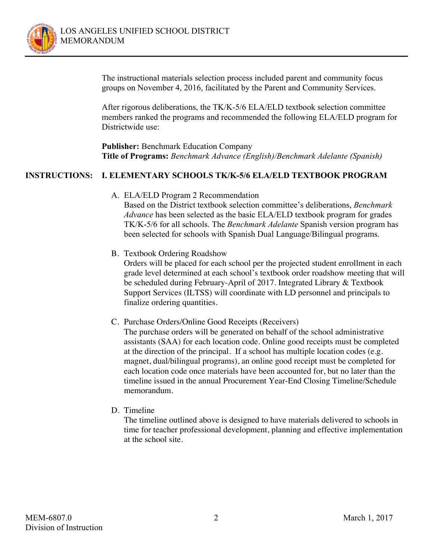

The instructional materials selection process included parent and community focus groups on November 4, 2016, facilitated by the Parent and Community Services.

After rigorous deliberations, the TK/K-5/6 ELA/ELD textbook selection committee members ranked the programs and recommended the following ELA/ELD program for Districtwide use:

**Publisher:** Benchmark Education Company **Title of Programs:** *Benchmark Advance (English)/Benchmark Adelante (Spanish)*

## **INSTRUCTIONS: I. ELEMENTARY SCHOOLS TK/K-5/6 ELA/ELD TEXTBOOK PROGRAM**

A. ELA/ELD Program 2 Recommendation

Based on the District textbook selection committee's deliberations, *Benchmark Advance* has been selected as the basic ELA/ELD textbook program for grades TK/K-5/6 for all schools. The *Benchmark Adelante* Spanish version program has been selected for schools with Spanish Dual Language/Bilingual programs.

B. Textbook Ordering Roadshow

Orders will be placed for each school per the projected student enrollment in each grade level determined at each school's textbook order roadshow meeting that will be scheduled during February-April of 2017. Integrated Library & Textbook Support Services (ILTSS) will coordinate with LD personnel and principals to finalize ordering quantities.

C. Purchase Orders/Online Good Receipts (Receivers)

The purchase orders will be generated on behalf of the school administrative assistants (SAA) for each location code. Online good receipts must be completed at the direction of the principal. If a school has multiple location codes (e.g. magnet, dual/bilingual programs), an online good receipt must be completed for each location code once materials have been accounted for, but no later than the timeline issued in the annual Procurement Year-End Closing Timeline/Schedule memorandum.

D. Timeline

The timeline outlined above is designed to have materials delivered to schools in time for teacher professional development, planning and effective implementation at the school site.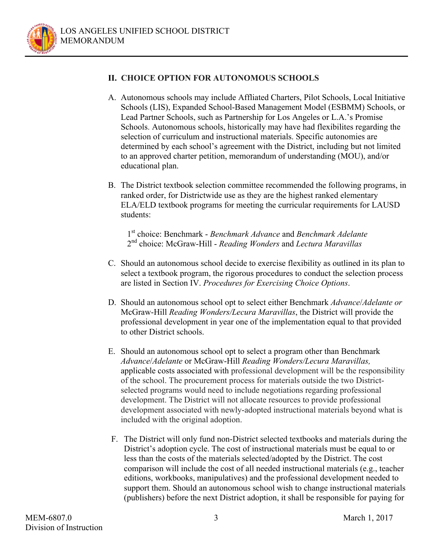

# **II. CHOICE OPTION FOR AUTONOMOUS SCHOOLS**

- A. Autonomous schools may include Affliated Charters, Pilot Schools, Local Initiative Schools (LIS), Expanded School-Based Management Model (ESBMM) Schools, or Lead Partner Schools, such as Partnership for Los Angeles or L.A.'s Promise Schools. Autonomous schools, historically may have had flexibilites regarding the selection of curriculum and instructional materials. Specific autonomies are determined by each school's agreement with the District, including but not limited to an approved charter petition, memorandum of understanding (MOU), and/or educational plan.
- B. The District textbook selection committee recommended the following programs, in ranked order, for Districtwide use as they are the highest ranked elementary ELA/ELD textbook programs for meeting the curricular requirements for LAUSD students:

1st choice: Benchmark - *Benchmark Advance* and *Benchmark Adelante* 2nd choice: McGraw-Hill - *Reading Wonders* and *Lectura Maravillas*

- C. Should an autonomous school decide to exercise flexibility as outlined in its plan to select a textbook program, the rigorous procedures to conduct the selection process are listed in Section IV. *Procedures for Exercising Choice Options*.
- D. Should an autonomous school opt to select either Benchmark *Advance*/*Adelante or*  McGraw-Hill *Reading Wonders/Lecura Maravillas*, the District will provide the professional development in year one of the implementation equal to that provided to other District schools.
- E. Should an autonomous school opt to select a program other than Benchmark *Advance*/*Adelante* or McGraw-Hill *Reading Wonders/Lecura Maravillas,* applicable costs associated with professional development will be the responsibility of the school. The procurement process for materials outside the two Districtselected programs would need to include negotiations regarding professional development. The District will not allocate resources to provide professional development associated with newly-adopted instructional materials beyond what is included with the original adoption.
- F. The District will only fund non-District selected textbooks and materials during the District's adoption cycle. The cost of instructional materials must be equal to or less than the costs of the materials selected/adopted by the District. The cost comparison will include the cost of all needed instructional materials (e.g., teacher editions, workbooks, manipulatives) and the professional development needed to support them. Should an autonomous school wish to change instructional materials (publishers) before the next District adoption, it shall be responsible for paying for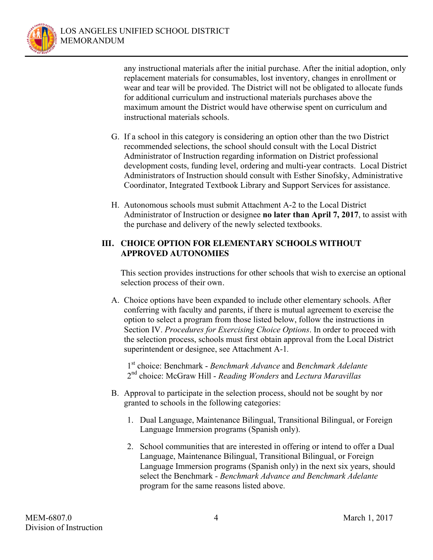

any instructional materials after the initial purchase. After the initial adoption, only replacement materials for consumables, lost inventory, changes in enrollment or wear and tear will be provided. The District will not be obligated to allocate funds for additional curriculum and instructional materials purchases above the maximum amount the District would have otherwise spent on curriculum and instructional materials schools.

- G. If a school in this category is considering an option other than the two District recommended selections, the school should consult with the Local District Administrator of Instruction regarding information on District professional development costs, funding level, ordering and multi-year contracts. Local District Administrators of Instruction should consult with Esther Sinofsky, Administrative Coordinator, Integrated Textbook Library and Support Services for assistance.
- H. Autonomous schools must submit Attachment A-2 to the Local District Administrator of Instruction or designee **no later than April 7, 2017**, to assist with the purchase and delivery of the newly selected textbooks.

#### **III. CHOICE OPTION FOR ELEMENTARY SCHOOLS WITHOUT APPROVED AUTONOMIES**

This section provides instructions for other schools that wish to exercise an optional selection process of their own.

A. Choice options have been expanded to include other elementary schools. After conferring with faculty and parents, if there is mutual agreement to exercise the option to select a program from those listed below, follow the instructions in Section IV. *Procedures for Exercising Choice Options*. In order to proceed with the selection process, schools must first obtain approval from the Local District superintendent or designee, see Attachment A-1*.*

1st choice: Benchmark - *Benchmark Advance* and *Benchmark Adelante* 2nd choice: McGraw Hill - *Reading Wonders* and *Lectura Maravillas*

- B. Approval to participate in the selection process, should not be sought by nor granted to schools in the following categories:
	- 1. Dual Language, Maintenance Bilingual, Transitional Bilingual, or Foreign Language Immersion programs (Spanish only).
	- 2. School communities that are interested in offering or intend to offer a Dual Language, Maintenance Bilingual, Transitional Bilingual, or Foreign Language Immersion programs (Spanish only) in the next six years, should select the Benchmark *- Benchmark Advance and Benchmark Adelante* program for the same reasons listed above.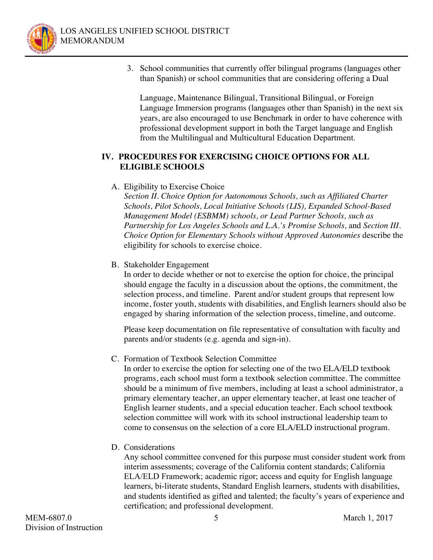

3. School communities that currently offer bilingual programs (languages other than Spanish) or school communities that are considering offering a Dual

Language, Maintenance Bilingual, Transitional Bilingual, or Foreign Language Immersion programs (languages other than Spanish) in the next six years, are also encouraged to use Benchmark in order to have coherence with professional development support in both the Target language and English from the Multilingual and Multicultural Education Department.

#### **IV. PROCEDURES FOR EXERCISING CHOICE OPTIONS FOR ALL ELIGIBLE SCHOOLS**

## A. Eligibility to Exercise Choice

*Section II. Choice Option for Autonomous Schools, such as Affiliated Charter Schools, Pilot Schools, Local Initiative Schools (LIS), Expanded School-Based Management Model (ESBMM) schools, or Lead Partner Schools, such as Partnership for Los Angeles Schools and L.A.'s Promise Schools,* and *Section III. Choice Option for Elementary Schools without Approved Autonomies* describe the eligibility for schools to exercise choice.

#### B. Stakeholder Engagement

In order to decide whether or not to exercise the option for choice, the principal should engage the faculty in a discussion about the options, the commitment, the selection process, and timeline. Parent and/or student groups that represent low income, foster youth, students with disabilities, and English learners should also be engaged by sharing information of the selection process, timeline, and outcome.

Please keep documentation on file representative of consultation with faculty and parents and/or students (e.g. agenda and sign-in).

#### C. Formation of Textbook Selection Committee

In order to exercise the option for selecting one of the two ELA/ELD textbook programs, each school must form a textbook selection committee. The committee should be a minimum of five members, including at least a school administrator, a primary elementary teacher, an upper elementary teacher, at least one teacher of English learner students, and a special education teacher. Each school textbook selection committee will work with its school instructional leadership team to come to consensus on the selection of a core ELA/ELD instructional program.

D. Considerations

Any school committee convened for this purpose must consider student work from interim assessments; coverage of the California content standards; California ELA/ELD Framework; academic rigor; access and equity for English language learners, bi-literate students, Standard English learners, students with disabilities, and students identified as gifted and talented; the faculty's years of experience and certification; and professional development.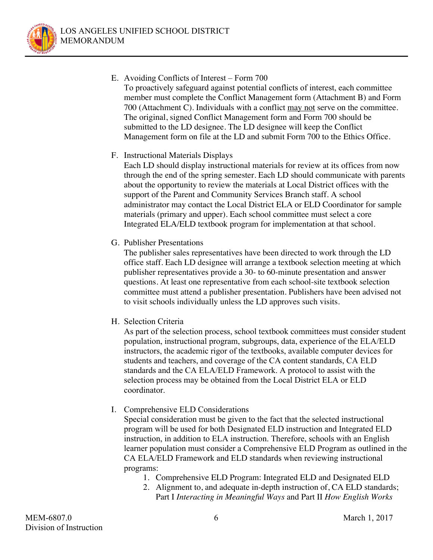

- E. Avoiding Conflicts of Interest Form 700
	- To proactively safeguard against potential conflicts of interest, each committee member must complete the Conflict Management form (Attachment B) and Form 700 (Attachment C). Individuals with a conflict may not serve on the committee. The original, signed Conflict Management form and Form 700 should be submitted to the LD designee. The LD designee will keep the Conflict Management form on file at the LD and submit Form 700 to the Ethics Office.
	- F. Instructional Materials Displays

Each LD should display instructional materials for review at its offices from now through the end of the spring semester. Each LD should communicate with parents about the opportunity to review the materials at Local District offices with the support of the Parent and Community Services Branch staff. A school administrator may contact the Local District ELA or ELD Coordinator for sample materials (primary and upper). Each school committee must select a core Integrated ELA/ELD textbook program for implementation at that school.

G. Publisher Presentations

The publisher sales representatives have been directed to work through the LD office staff. Each LD designee will arrange a textbook selection meeting at which publisher representatives provide a 30- to 60-minute presentation and answer questions. At least one representative from each school-site textbook selection committee must attend a publisher presentation. Publishers have been advised not to visit schools individually unless the LD approves such visits.

H. Selection Criteria

As part of the selection process, school textbook committees must consider student population, instructional program, subgroups, data, experience of the ELA/ELD instructors, the academic rigor of the textbooks, available computer devices for students and teachers, and coverage of the CA content standards, CA ELD standards and the CA ELA/ELD Framework. A protocol to assist with the selection process may be obtained from the Local District ELA or ELD coordinator.

I. Comprehensive ELD Considerations

 Special consideration must be given to the fact that the selected instructional program will be used for both Designated ELD instruction and Integrated ELD instruction, in addition to ELA instruction. Therefore, schools with an English learner population must consider a Comprehensive ELD Program as outlined in the CA ELA/ELD Framework and ELD standards when reviewing instructional programs:

- 1. Comprehensive ELD Program: Integrated ELD and Designated ELD
- 2. Alignment to, and adequate in-depth instruction of, CA ELD standards; Part I *Interacting in Meaningful Ways* and Part II *How English Works*